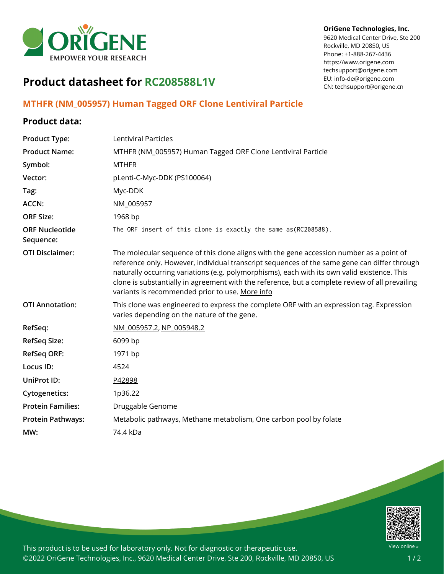

## **OriGene Technologies, Inc.**

9620 Medical Center Drive, Ste 200 Rockville, MD 20850, US Phone: +1-888-267-4436 https://www.origene.com techsupport@origene.com EU: info-de@origene.com CN: techsupport@origene.cn

## **Product datasheet for RC208588L1V**

## **MTHFR (NM\_005957) Human Tagged ORF Clone Lentiviral Particle**

## **Product data:**

| <b>Product Type:</b>               | Lentiviral Particles                                                                                                                                                                                                                                                                                                                                                                                                                           |
|------------------------------------|------------------------------------------------------------------------------------------------------------------------------------------------------------------------------------------------------------------------------------------------------------------------------------------------------------------------------------------------------------------------------------------------------------------------------------------------|
| <b>Product Name:</b>               | MTHFR (NM_005957) Human Tagged ORF Clone Lentiviral Particle                                                                                                                                                                                                                                                                                                                                                                                   |
| Symbol:                            | <b>MTHFR</b>                                                                                                                                                                                                                                                                                                                                                                                                                                   |
| Vector:                            | pLenti-C-Myc-DDK (PS100064)                                                                                                                                                                                                                                                                                                                                                                                                                    |
| Tag:                               | Myc-DDK                                                                                                                                                                                                                                                                                                                                                                                                                                        |
| <b>ACCN:</b>                       | NM_005957                                                                                                                                                                                                                                                                                                                                                                                                                                      |
| <b>ORF Size:</b>                   | 1968 bp                                                                                                                                                                                                                                                                                                                                                                                                                                        |
| <b>ORF Nucleotide</b><br>Sequence: | The ORF insert of this clone is exactly the same as(RC208588).                                                                                                                                                                                                                                                                                                                                                                                 |
| <b>OTI Disclaimer:</b>             | The molecular sequence of this clone aligns with the gene accession number as a point of<br>reference only. However, individual transcript sequences of the same gene can differ through<br>naturally occurring variations (e.g. polymorphisms), each with its own valid existence. This<br>clone is substantially in agreement with the reference, but a complete review of all prevailing<br>variants is recommended prior to use. More info |
| <b>OTI Annotation:</b>             | This clone was engineered to express the complete ORF with an expression tag. Expression<br>varies depending on the nature of the gene.                                                                                                                                                                                                                                                                                                        |
| RefSeq:                            | NM 005957.2, NP 005948.2                                                                                                                                                                                                                                                                                                                                                                                                                       |
| <b>RefSeq Size:</b>                | 6099 bp                                                                                                                                                                                                                                                                                                                                                                                                                                        |
| <b>RefSeq ORF:</b>                 | 1971 bp                                                                                                                                                                                                                                                                                                                                                                                                                                        |
| Locus ID:                          | 4524                                                                                                                                                                                                                                                                                                                                                                                                                                           |
| UniProt ID:                        | P42898                                                                                                                                                                                                                                                                                                                                                                                                                                         |
| <b>Cytogenetics:</b>               | 1p36.22                                                                                                                                                                                                                                                                                                                                                                                                                                        |
| <b>Protein Families:</b>           | Druggable Genome                                                                                                                                                                                                                                                                                                                                                                                                                               |
| <b>Protein Pathways:</b>           | Metabolic pathways, Methane metabolism, One carbon pool by folate                                                                                                                                                                                                                                                                                                                                                                              |
| MW:                                | 74.4 kDa                                                                                                                                                                                                                                                                                                                                                                                                                                       |
|                                    |                                                                                                                                                                                                                                                                                                                                                                                                                                                |



This product is to be used for laboratory only. Not for diagnostic or therapeutic use. ©2022 OriGene Technologies, Inc., 9620 Medical Center Drive, Ste 200, Rockville, MD 20850, US